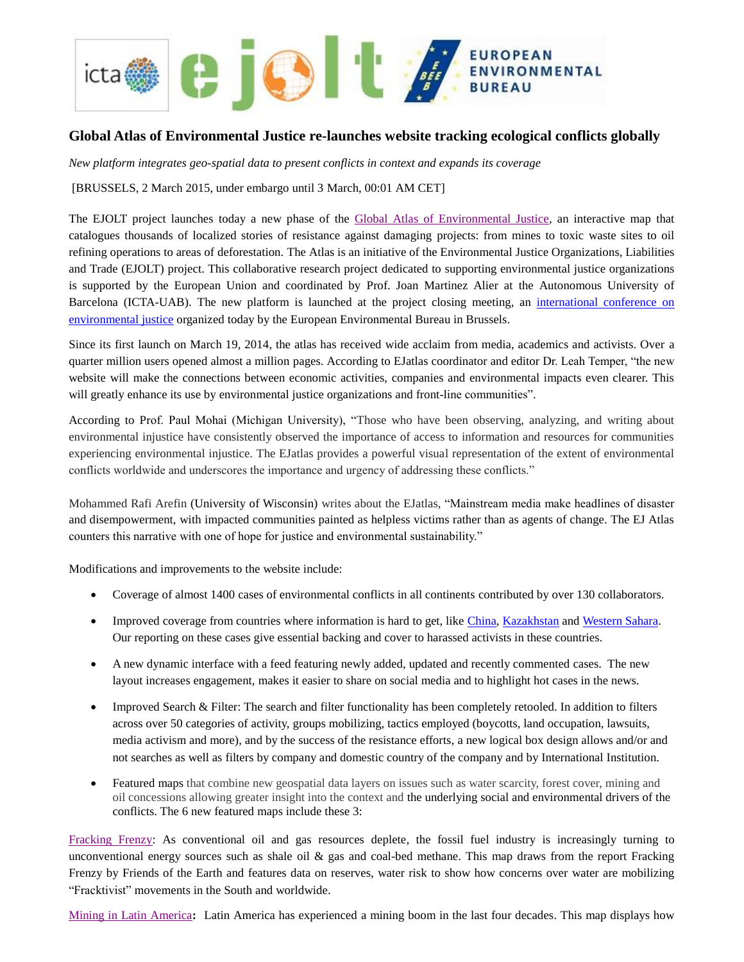

## **Global Atlas of Environmental Justice re-launches website tracking ecological conflicts globally**

*New platform integrates geo-spatial data to present conflicts in context and expands its coverage*

[BRUSSELS, 2 March 2015, under embargo until 3 March, 00:01 AM CET]

The EJOLT project launches today a new phase of the [Global Atlas of Environmental Justice,](http://ejatlas.org/) an interactive map that catalogues thousands of localized stories of resistance against damaging projects: from mines to toxic waste sites to oil refining operations to areas of deforestation. The Atlas is an initiative of the Environmental Justice Organizations, Liabilities and Trade (EJOLT) project. This collaborative research project dedicated to supporting environmental justice organizations is supported by the European Union and coordinated by Prof. Joan Martinez Alier at the Autonomous University of Barcelona (ICTA-UAB). The new platform is launched at the project closing meeting, an [international conference on](https://www.eventbrite.com/e/opportunities-for-european-policy-makers-towards-environmental-justice-film-event-and-conference-tickets-15135935992)  [environmental justice](https://www.eventbrite.com/e/opportunities-for-european-policy-makers-towards-environmental-justice-film-event-and-conference-tickets-15135935992) organized today by the European Environmental Bureau in Brussels.

Since its first launch on March 19, 2014, the atlas has received wide acclaim from media, academics and activists. Over a quarter million users opened almost a million pages. According to EJatlas coordinator and editor Dr. Leah Temper, "the new website will make the connections between economic activities, companies and environmental impacts even clearer. This will greatly enhance its use by environmental justice organizations and front-line communities".

According to Prof. Paul Mohai (Michigan University), "Those who have been observing, analyzing, and writing about environmental injustice have consistently observed the importance of access to information and resources for communities experiencing environmental injustice. The EJatlas provides a powerful visual representation of the extent of environmental conflicts worldwide and underscores the importance and urgency of addressing these conflicts."

Mohammed Rafi Arefin (University of Wisconsin) writes about the EJatlas, "Mainstream media make headlines of disaster and disempowerment, with impacted communities painted as helpless victims rather than as agents of change. The EJ Atlas counters this narrative with one of hope for justice and environmental sustainability."

Modifications and improvements to the website include:

- Coverage of almost 1400 cases of environmental conflicts in all continents contributed by over 130 collaborators.
- Improved coverage from countries where information is hard to get, like [China,](http://ejatlas.org/conflict/the-fujia-petrochemical-paraxylene-px-plant-protest-in-dalian-liaoning-china) [Kazakhstan](http://ejatlas.org/conflict/protect-kok-zhailau-ile-alatau-state-national-nature-park-kazakhstan) and [Western Sahara.](http://ejatlas.org/conflict/western-sahara-and-the-sahrawi-people-morocco) Our reporting on these cases give essential backing and cover to harassed activists in these countries.
- A new dynamic interface with a feed featuring newly added, updated and recently commented cases. The new layout increases engagement, makes it easier to share on social media and to highlight hot cases in the news.
- Improved Search & Filter: The search and filter functionality has been completely retooled. In addition to filters across over 50 categories of activity, groups mobilizing, tactics employed (boycotts, land occupation, lawsuits, media activism and more), and by the success of the resistance efforts, a new logical box design allows and/or and not searches as well as filters by company and domestic country of the company and by International Institution.
- Featured maps that combine new geospatial data layers on issues such as water scarcity, forest cover, mining and oil concessions allowing greater insight into the context and the underlying social and environmental drivers of the conflicts. The 6 new featured maps include these 3:

[Fracking Frenzy:](http://ejatlas.org/featured/fracking-frenzy) As conventional oil and gas resources deplete, the fossil fuel industry is increasingly turning to unconventional energy sources such as shale oil  $\&$  gas and coal-bed methane. This map draws from the report Fracking Frenzy by Friends of the Earth and features data on reserves, water risk to show how concerns over water are mobilizing "Fracktivist" movements in the South and worldwide.

[Mining in Latin America](http://ejatlas.org/featured/mining-latam)**:** Latin America has experienced a mining boom in the last four decades. This map displays how